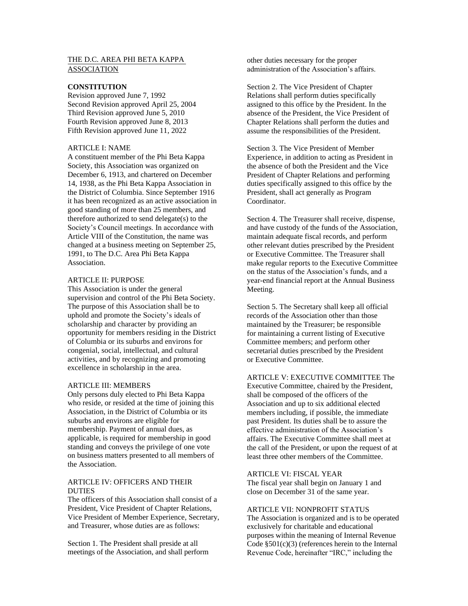# THE D.C. AREA PHI BETA KAPPA ASSOCIATION

### **CONSTITUTION**

Revision approved June 7, 1992 Second Revision approved April 25, 2004 Third Revision approved June 5, 2010 Fourth Revision approved June 8, 2013 Fifth Revision approved June 11, 2022

# ARTICLE I: NAME

A constituent member of the Phi Beta Kappa Society, this Association was organized on December 6, 1913, and chartered on December 14, 1938, as the Phi Beta Kappa Association in the District of Columbia. Since September 1916 it has been recognized as an active association in good standing of more than 25 members, and therefore authorized to send delegate(s) to the Society's Council meetings. In accordance with Article VIII of the Constitution, the name was changed at a business meeting on September 25, 1991, to The D.C. Area Phi Beta Kappa Association.

### ARTICLE II: PURPOSE

This Association is under the general supervision and control of the Phi Beta Society. The purpose of this Association shall be to uphold and promote the Society's ideals of scholarship and character by providing an opportunity for members residing in the District of Columbia or its suburbs and environs for congenial, social, intellectual, and cultural activities, and by recognizing and promoting excellence in scholarship in the area.

### ARTICLE III: MEMBERS

Only persons duly elected to Phi Beta Kappa who reside, or resided at the time of joining this Association, in the District of Columbia or its suburbs and environs are eligible for membership. Payment of annual dues, as applicable, is required for membership in good standing and conveys the privilege of one vote on business matters presented to all members of the Association.

## ARTICLE IV: OFFICERS AND THEIR DUTIES

The officers of this Association shall consist of a President, Vice President of Chapter Relations, Vice President of Member Experience, Secretary, and Treasurer, whose duties are as follows:

Section 1. The President shall preside at all meetings of the Association, and shall perform other duties necessary for the proper administration of the Association's affairs.

Section 2. The Vice President of Chapter Relations shall perform duties specifically assigned to this office by the President. In the absence of the President, the Vice President of Chapter Relations shall perform the duties and assume the responsibilities of the President.

Section 3. The Vice President of Member Experience, in addition to acting as President in the absence of both the President and the Vice President of Chapter Relations and performing duties specifically assigned to this office by the President, shall act generally as Program Coordinator.

Section 4. The Treasurer shall receive, dispense, and have custody of the funds of the Association, maintain adequate fiscal records, and perform other relevant duties prescribed by the President or Executive Committee. The Treasurer shall make regular reports to the Executive Committee on the status of the Association's funds, and a year-end financial report at the Annual Business Meeting.

Section 5. The Secretary shall keep all official records of the Association other than those maintained by the Treasurer; be responsible for maintaining a current listing of Executive Committee members; and perform other secretarial duties prescribed by the President or Executive Committee.

## ARTICLE V: EXECUTIVE COMMITTEE The

Executive Committee, chaired by the President, shall be composed of the officers of the Association and up to six additional elected members including, if possible, the immediate past President. Its duties shall be to assure the effective administration of the Association's affairs. The Executive Committee shall meet at the call of the President, or upon the request of at least three other members of the Committee.

### ARTICLE VI: FISCAL YEAR

The fiscal year shall begin on January 1 and close on December 31 of the same year.

## ARTICLE VII: NONPROFIT STATUS

The Association is organized and is to be operated exclusively for charitable and educational purposes within the meaning of Internal Revenue Code §501(c)(3) (references herein to the Internal Revenue Code, hereinafter "IRC," including the